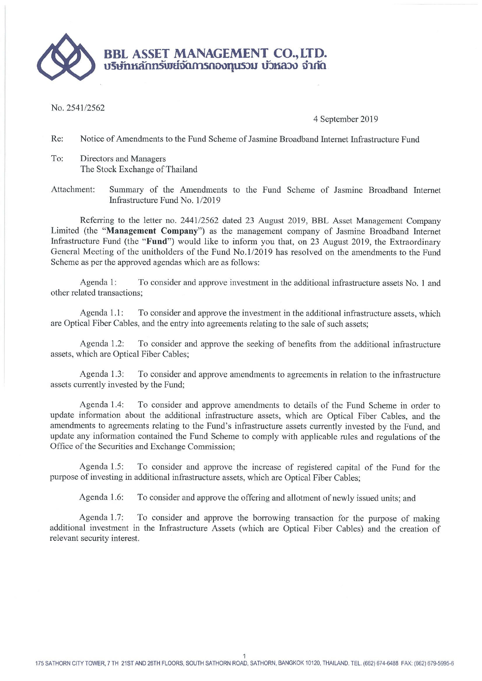

No. 2541/2562

## 4 September 2019

Re: Notice of Amendments to the Fund Scheme of Jasmine Broadband Internet Infrastructure Fund

To: Directors and Managers The Stock Exchange of Thailand

Attachment: Summary of the Amendments to the Fund Scheme of Jasmine Broadband Internet Infrastructure Fund No. 1/2019

Referring to the letter no. 2441/2562 dated 23 August 2019, BBL Asset Management Company Limited (the "Management Company") as the management company of Jasmine Broadband Internet Infrastructure Fund (the "Fund") would like to inform you that, on 23 August 2019, the Extraordinary General Meeting of the unitholders of the Fund No.1/2019 has resolved on the amendments to the Fund Scheme as per the approved agendas which are as follows:

Agenda 1: To consider and approve investment in the additional infrastructure assets No. 1 and other related transactions;

Agenda 1.1: To consider and approve the investment in the additional infrastructure assets, which are Optical Fiber Cables, and the entry into agreements relating to the sale of such assets;

To consider and approve the seeking of benefits from the additional infrastructure Agenda 1.2: assets, which are Optical Fiber Cables;

Agenda 1.3: To consider and approve amendments to agreements in relation to the infrastructure assets currently invested by the Fund;

To consider and approve amendments to details of the Fund Scheme in order to Agenda 1.4: update information about the additional infrastructure assets, which are Optical Fiber Cables, and the amendments to agreements relating to the Fund's infrastructure assets currently invested by the Fund, and update any information contained the Fund Scheme to comply with applicable rules and regulations of the Office of the Securities and Exchange Commission;

To consider and approve the increase of registered capital of the Fund for the Agenda 1.5: purpose of investing in additional infrastructure assets, which are Optical Fiber Cables;

Agenda 1.6: To consider and approve the offering and allotment of newly issued units; and

Agenda 1.7: To consider and approve the borrowing transaction for the purpose of making additional investment in the Infrastructure Assets (which are Optical Fiber Cables) and the creation of relevant security interest.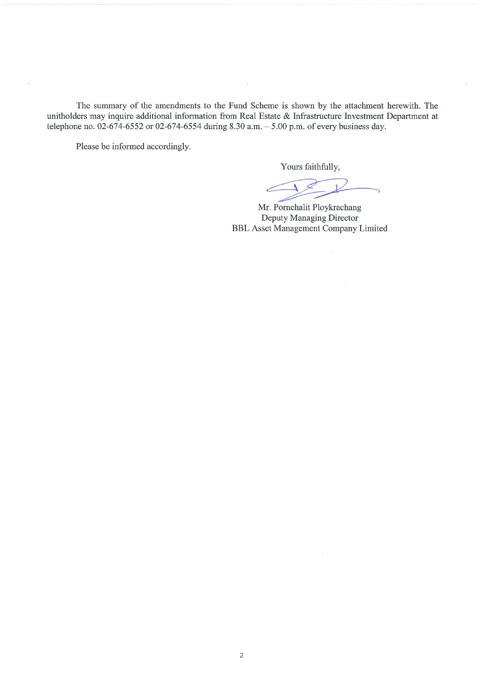The summary of the amendments to the Fund Scheme is shown by the attachment herewith. The unitholders may inquire additional information from Real Estate & Infrastructure Investment Department at telephone no. 02-674-6552 or 02-674-6554 during 8.30 a.m.  $-$  5.00 p.m. of every business day.

Please be informed accordingly.

Yours faithfully,

Mr. Pornchalit Ploykrachang Deputy Managing Director **BBL Asset Management Company Limited**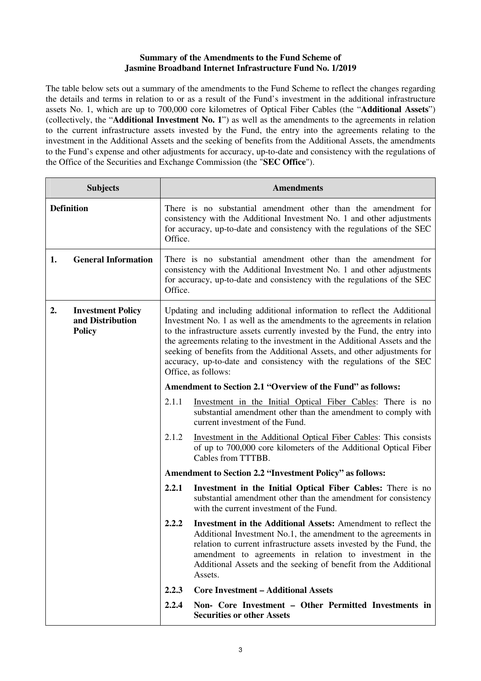## **Summary of the Amendments to the Fund Scheme of Jasmine Broadband Internet Infrastructure Fund No. 1/2019**

The table below sets out a summary of the amendments to the Fund Scheme to reflect the changes regarding the details and terms in relation to or as a result of the Fund's investment in the additional infrastructure assets No. 1, which are up to 700,000 core kilometres of Optical Fiber Cables (the "**Additional Assets**") (collectively, the "**Additional Investment No. 1**") as well as the amendments to the agreements in relation to the current infrastructure assets invested by the Fund, the entry into the agreements relating to the investment in the Additional Assets and the seeking of benefits from the Additional Assets, the amendments to the Fund's expense and other adjustments for accuracy, up-to-date and consistency with the regulations of the Office of the Securities and Exchange Commission (the "**SEC Office**").

| <b>Subjects</b>                                                     | <b>Amendments</b>                                                                                                                                                                                                                                                                                                                                                                                                                                                                            |                                                                                                                                                                                                                                                                                                                                                          |
|---------------------------------------------------------------------|----------------------------------------------------------------------------------------------------------------------------------------------------------------------------------------------------------------------------------------------------------------------------------------------------------------------------------------------------------------------------------------------------------------------------------------------------------------------------------------------|----------------------------------------------------------------------------------------------------------------------------------------------------------------------------------------------------------------------------------------------------------------------------------------------------------------------------------------------------------|
| <b>Definition</b>                                                   | There is no substantial amendment other than the amendment for<br>consistency with the Additional Investment No. 1 and other adjustments<br>for accuracy, up-to-date and consistency with the regulations of the SEC<br>Office.                                                                                                                                                                                                                                                              |                                                                                                                                                                                                                                                                                                                                                          |
| <b>General Information</b><br>1.                                    | Office.                                                                                                                                                                                                                                                                                                                                                                                                                                                                                      | There is no substantial amendment other than the amendment for<br>consistency with the Additional Investment No. 1 and other adjustments<br>for accuracy, up-to-date and consistency with the regulations of the SEC                                                                                                                                     |
| 2.<br><b>Investment Policy</b><br>and Distribution<br><b>Policy</b> | Updating and including additional information to reflect the Additional<br>Investment No. 1 as well as the amendments to the agreements in relation<br>to the infrastructure assets currently invested by the Fund, the entry into<br>the agreements relating to the investment in the Additional Assets and the<br>seeking of benefits from the Additional Assets, and other adjustments for<br>accuracy, up-to-date and consistency with the regulations of the SEC<br>Office, as follows: |                                                                                                                                                                                                                                                                                                                                                          |
|                                                                     |                                                                                                                                                                                                                                                                                                                                                                                                                                                                                              | Amendment to Section 2.1 "Overview of the Fund" as follows:                                                                                                                                                                                                                                                                                              |
|                                                                     | 2.1.1                                                                                                                                                                                                                                                                                                                                                                                                                                                                                        | Investment in the Initial Optical Fiber Cables: There is no<br>substantial amendment other than the amendment to comply with<br>current investment of the Fund.                                                                                                                                                                                          |
|                                                                     | 2.1.2                                                                                                                                                                                                                                                                                                                                                                                                                                                                                        | Investment in the Additional Optical Fiber Cables: This consists<br>of up to 700,000 core kilometers of the Additional Optical Fiber<br>Cables from TTTBB.                                                                                                                                                                                               |
|                                                                     | <b>Amendment to Section 2.2 "Investment Policy" as follows:</b>                                                                                                                                                                                                                                                                                                                                                                                                                              |                                                                                                                                                                                                                                                                                                                                                          |
|                                                                     | 2.2.1                                                                                                                                                                                                                                                                                                                                                                                                                                                                                        | Investment in the Initial Optical Fiber Cables: There is no<br>substantial amendment other than the amendment for consistency<br>with the current investment of the Fund.                                                                                                                                                                                |
|                                                                     | 2.2.2                                                                                                                                                                                                                                                                                                                                                                                                                                                                                        | <b>Investment in the Additional Assets:</b> Amendment to reflect the<br>Additional Investment No.1, the amendment to the agreements in<br>relation to current infrastructure assets invested by the Fund, the<br>amendment to agreements in relation to investment in the<br>Additional Assets and the seeking of benefit from the Additional<br>Assets. |
|                                                                     | 2.2.3                                                                                                                                                                                                                                                                                                                                                                                                                                                                                        | <b>Core Investment - Additional Assets</b>                                                                                                                                                                                                                                                                                                               |
|                                                                     | 2.2.4                                                                                                                                                                                                                                                                                                                                                                                                                                                                                        | Non- Core Investment - Other Permitted Investments in<br><b>Securities or other Assets</b>                                                                                                                                                                                                                                                               |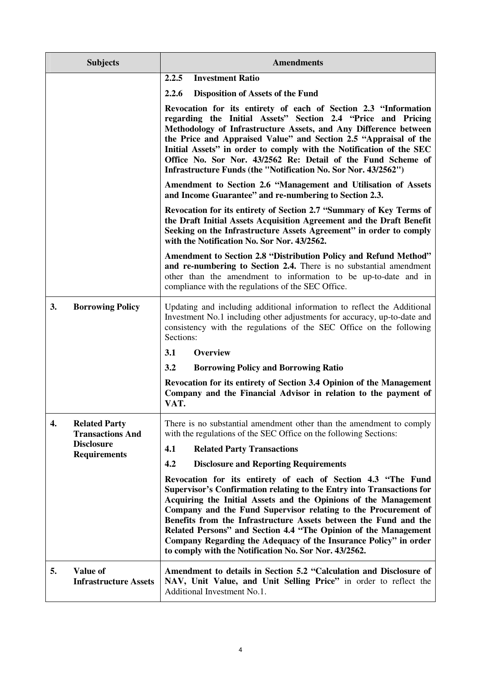| <b>Subjects</b>                                       |                                          | <b>Amendments</b>                                                                                                                                                                                                                                                                                                                                                                                                                                                                                                                                                                                                                                                                                                                                                                                                                                                                                                                                                                                                                                                                                                                                          |  |  |
|-------------------------------------------------------|------------------------------------------|------------------------------------------------------------------------------------------------------------------------------------------------------------------------------------------------------------------------------------------------------------------------------------------------------------------------------------------------------------------------------------------------------------------------------------------------------------------------------------------------------------------------------------------------------------------------------------------------------------------------------------------------------------------------------------------------------------------------------------------------------------------------------------------------------------------------------------------------------------------------------------------------------------------------------------------------------------------------------------------------------------------------------------------------------------------------------------------------------------------------------------------------------------|--|--|
|                                                       |                                          | <b>Investment Ratio</b><br>2.2.5                                                                                                                                                                                                                                                                                                                                                                                                                                                                                                                                                                                                                                                                                                                                                                                                                                                                                                                                                                                                                                                                                                                           |  |  |
|                                                       |                                          | 2.2.6<br><b>Disposition of Assets of the Fund</b>                                                                                                                                                                                                                                                                                                                                                                                                                                                                                                                                                                                                                                                                                                                                                                                                                                                                                                                                                                                                                                                                                                          |  |  |
|                                                       |                                          | Revocation for its entirety of each of Section 2.3 "Information<br>regarding the Initial Assets" Section 2.4 "Price and Pricing<br>Methodology of Infrastructure Assets, and Any Difference between<br>the Price and Appraised Value" and Section 2.5 "Appraisal of the<br>Initial Assets" in order to comply with the Notification of the SEC<br>Office No. Sor Nor. 43/2562 Re: Detail of the Fund Scheme of<br>Infrastructure Funds (the "Notification No. Sor Nor. 43/2562")<br>Amendment to Section 2.6 "Management and Utilisation of Assets<br>and Income Guarantee" and re-numbering to Section 2.3.<br>Revocation for its entirety of Section 2.7 "Summary of Key Terms of<br>the Draft Initial Assets Acquisition Agreement and the Draft Benefit<br>Seeking on the Infrastructure Assets Agreement" in order to comply<br>with the Notification No. Sor Nor. 43/2562.<br><b>Amendment to Section 2.8 "Distribution Policy and Refund Method"</b><br>and re-numbering to Section 2.4. There is no substantial amendment<br>other than the amendment to information to be up-to-date and in<br>compliance with the regulations of the SEC Office. |  |  |
|                                                       |                                          |                                                                                                                                                                                                                                                                                                                                                                                                                                                                                                                                                                                                                                                                                                                                                                                                                                                                                                                                                                                                                                                                                                                                                            |  |  |
|                                                       |                                          |                                                                                                                                                                                                                                                                                                                                                                                                                                                                                                                                                                                                                                                                                                                                                                                                                                                                                                                                                                                                                                                                                                                                                            |  |  |
|                                                       |                                          |                                                                                                                                                                                                                                                                                                                                                                                                                                                                                                                                                                                                                                                                                                                                                                                                                                                                                                                                                                                                                                                                                                                                                            |  |  |
| 3.<br><b>Borrowing Policy</b>                         |                                          | Updating and including additional information to reflect the Additional<br>Investment No.1 including other adjustments for accuracy, up-to-date and<br>consistency with the regulations of the SEC Office on the following<br>Sections:                                                                                                                                                                                                                                                                                                                                                                                                                                                                                                                                                                                                                                                                                                                                                                                                                                                                                                                    |  |  |
|                                                       |                                          | Overview<br>3.1                                                                                                                                                                                                                                                                                                                                                                                                                                                                                                                                                                                                                                                                                                                                                                                                                                                                                                                                                                                                                                                                                                                                            |  |  |
|                                                       |                                          | 3.2<br><b>Borrowing Policy and Borrowing Ratio</b>                                                                                                                                                                                                                                                                                                                                                                                                                                                                                                                                                                                                                                                                                                                                                                                                                                                                                                                                                                                                                                                                                                         |  |  |
|                                                       |                                          | Revocation for its entirety of Section 3.4 Opinion of the Management<br>Company and the Financial Advisor in relation to the payment of<br>VAT.                                                                                                                                                                                                                                                                                                                                                                                                                                                                                                                                                                                                                                                                                                                                                                                                                                                                                                                                                                                                            |  |  |
| 4.<br><b>Related Party</b><br><b>Transactions And</b> |                                          | There is no substantial amendment other than the amendment to comply<br>with the regulations of the SEC Office on the following Sections:                                                                                                                                                                                                                                                                                                                                                                                                                                                                                                                                                                                                                                                                                                                                                                                                                                                                                                                                                                                                                  |  |  |
|                                                       | <b>Disclosure</b><br><b>Requirements</b> | 4.1<br><b>Related Party Transactions</b>                                                                                                                                                                                                                                                                                                                                                                                                                                                                                                                                                                                                                                                                                                                                                                                                                                                                                                                                                                                                                                                                                                                   |  |  |
|                                                       |                                          | 4.2<br><b>Disclosure and Reporting Requirements</b>                                                                                                                                                                                                                                                                                                                                                                                                                                                                                                                                                                                                                                                                                                                                                                                                                                                                                                                                                                                                                                                                                                        |  |  |
|                                                       |                                          | Revocation for its entirety of each of Section 4.3 "The Fund<br>Supervisor's Confirmation relating to the Entry into Transactions for<br>Acquiring the Initial Assets and the Opinions of the Management<br>Company and the Fund Supervisor relating to the Procurement of<br>Benefits from the Infrastructure Assets between the Fund and the<br>Related Persons" and Section 4.4 "The Opinion of the Management<br>Company Regarding the Adequacy of the Insurance Policy" in order<br>to comply with the Notification No. Sor Nor. 43/2562.                                                                                                                                                                                                                                                                                                                                                                                                                                                                                                                                                                                                             |  |  |
| Value of<br>5.                                        | <b>Infrastructure Assets</b>             | Amendment to details in Section 5.2 "Calculation and Disclosure of<br>NAV, Unit Value, and Unit Selling Price" in order to reflect the<br>Additional Investment No.1.                                                                                                                                                                                                                                                                                                                                                                                                                                                                                                                                                                                                                                                                                                                                                                                                                                                                                                                                                                                      |  |  |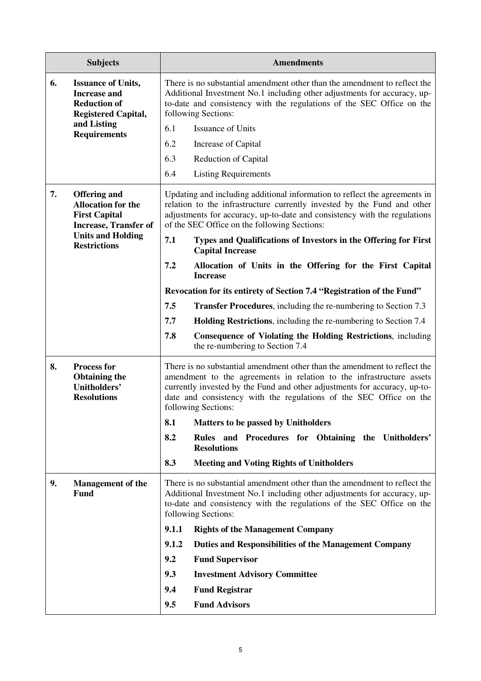|    | <b>Subjects</b>                                                                                                                                             |                                                                                                                                                                                                                                                                                                                             | <b>Amendments</b>                                                                                                                                                                                                                                                                  |  |
|----|-------------------------------------------------------------------------------------------------------------------------------------------------------------|-----------------------------------------------------------------------------------------------------------------------------------------------------------------------------------------------------------------------------------------------------------------------------------------------------------------------------|------------------------------------------------------------------------------------------------------------------------------------------------------------------------------------------------------------------------------------------------------------------------------------|--|
| 6. | <b>Issuance of Units,</b><br><b>Increase and</b><br><b>Reduction of</b><br><b>Registered Capital,</b>                                                       |                                                                                                                                                                                                                                                                                                                             | There is no substantial amendment other than the amendment to reflect the<br>Additional Investment No.1 including other adjustments for accuracy, up-<br>to-date and consistency with the regulations of the SEC Office on the<br>following Sections:                              |  |
|    | and Listing<br><b>Requirements</b>                                                                                                                          | 6.1                                                                                                                                                                                                                                                                                                                         | <b>Issuance of Units</b>                                                                                                                                                                                                                                                           |  |
|    |                                                                                                                                                             | 6.2                                                                                                                                                                                                                                                                                                                         | Increase of Capital                                                                                                                                                                                                                                                                |  |
|    |                                                                                                                                                             | 6.3                                                                                                                                                                                                                                                                                                                         | <b>Reduction of Capital</b>                                                                                                                                                                                                                                                        |  |
|    |                                                                                                                                                             | 6.4                                                                                                                                                                                                                                                                                                                         | <b>Listing Requirements</b>                                                                                                                                                                                                                                                        |  |
| 7. | <b>Offering and</b><br><b>Allocation for the</b><br><b>First Capital</b><br><b>Increase, Transfer of</b><br><b>Units and Holding</b><br><b>Restrictions</b> |                                                                                                                                                                                                                                                                                                                             | Updating and including additional information to reflect the agreements in<br>relation to the infrastructure currently invested by the Fund and other<br>adjustments for accuracy, up-to-date and consistency with the regulations<br>of the SEC Office on the following Sections: |  |
|    |                                                                                                                                                             | 7.1                                                                                                                                                                                                                                                                                                                         | Types and Qualifications of Investors in the Offering for First<br><b>Capital Increase</b>                                                                                                                                                                                         |  |
|    |                                                                                                                                                             | 7.2                                                                                                                                                                                                                                                                                                                         | Allocation of Units in the Offering for the First Capital<br><b>Increase</b>                                                                                                                                                                                                       |  |
|    |                                                                                                                                                             |                                                                                                                                                                                                                                                                                                                             | Revocation for its entirety of Section 7.4 "Registration of the Fund"                                                                                                                                                                                                              |  |
|    |                                                                                                                                                             | 7.5                                                                                                                                                                                                                                                                                                                         | Transfer Procedures, including the re-numbering to Section 7.3                                                                                                                                                                                                                     |  |
|    |                                                                                                                                                             | 7.7                                                                                                                                                                                                                                                                                                                         | <b>Holding Restrictions</b> , including the re-numbering to Section 7.4                                                                                                                                                                                                            |  |
|    |                                                                                                                                                             | 7.8                                                                                                                                                                                                                                                                                                                         | <b>Consequence of Violating the Holding Restrictions, including</b><br>the re-numbering to Section 7.4                                                                                                                                                                             |  |
| 8. | <b>Process for</b><br><b>Obtaining the</b><br>Unitholders'<br><b>Resolutions</b>                                                                            | There is no substantial amendment other than the amendment to reflect the<br>amendment to the agreements in relation to the infrastructure assets<br>currently invested by the Fund and other adjustments for accuracy, up-to-<br>date and consistency with the regulations of the SEC Office on the<br>following Sections: |                                                                                                                                                                                                                                                                                    |  |
|    |                                                                                                                                                             | 8.1                                                                                                                                                                                                                                                                                                                         | <b>Matters to be passed by Unitholders</b>                                                                                                                                                                                                                                         |  |
|    |                                                                                                                                                             | 8.2                                                                                                                                                                                                                                                                                                                         | Rules and Procedures for Obtaining the Unitholders'<br><b>Resolutions</b>                                                                                                                                                                                                          |  |
|    |                                                                                                                                                             | 8.3                                                                                                                                                                                                                                                                                                                         | <b>Meeting and Voting Rights of Unitholders</b>                                                                                                                                                                                                                                    |  |
| 9. | <b>Management of the</b><br>Fund                                                                                                                            |                                                                                                                                                                                                                                                                                                                             | There is no substantial amendment other than the amendment to reflect the<br>Additional Investment No.1 including other adjustments for accuracy, up-<br>to-date and consistency with the regulations of the SEC Office on the<br>following Sections:                              |  |
|    |                                                                                                                                                             | 9.1.1                                                                                                                                                                                                                                                                                                                       | <b>Rights of the Management Company</b>                                                                                                                                                                                                                                            |  |
|    |                                                                                                                                                             | 9.1.2                                                                                                                                                                                                                                                                                                                       | Duties and Responsibilities of the Management Company                                                                                                                                                                                                                              |  |
|    |                                                                                                                                                             | 9.2                                                                                                                                                                                                                                                                                                                         | <b>Fund Supervisor</b>                                                                                                                                                                                                                                                             |  |
|    |                                                                                                                                                             | 9.3                                                                                                                                                                                                                                                                                                                         | <b>Investment Advisory Committee</b>                                                                                                                                                                                                                                               |  |
|    |                                                                                                                                                             | 9.4                                                                                                                                                                                                                                                                                                                         | <b>Fund Registrar</b>                                                                                                                                                                                                                                                              |  |
|    |                                                                                                                                                             | 9.5                                                                                                                                                                                                                                                                                                                         | <b>Fund Advisors</b>                                                                                                                                                                                                                                                               |  |